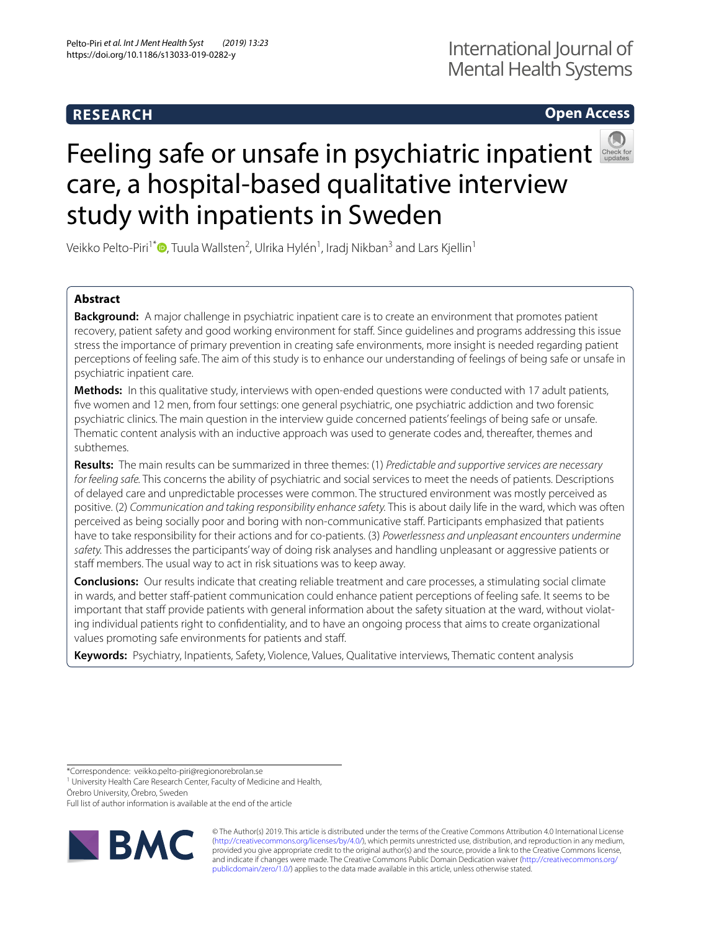# **RESEARCH**

## **Open Access**



# Feelingsafe or unsafe in psychiatric inpatient care, a hospital-based qualitative interview study with inpatients in Sweden

Veikko Pelto-Piri<sup>1[\\*](http://orcid.org/0000-0002-3509-8701)</sup>®, Tuula Wallsten<sup>2</sup>, Ulrika Hylén<sup>1</sup>, Iradj Nikban<sup>3</sup> and Lars Kjellin<sup>1</sup>

## **Abstract**

**Background:** A major challenge in psychiatric inpatient care is to create an environment that promotes patient recovery, patient safety and good working environment for staf. Since guidelines and programs addressing this issue stress the importance of primary prevention in creating safe environments, more insight is needed regarding patient perceptions of feeling safe. The aim of this study is to enhance our understanding of feelings of being safe or unsafe in psychiatric inpatient care.

**Methods:** In this qualitative study, interviews with open-ended questions were conducted with 17 adult patients, fve women and 12 men, from four settings: one general psychiatric, one psychiatric addiction and two forensic psychiatric clinics. The main question in the interview guide concerned patients' feelings of being safe or unsafe. Thematic content analysis with an inductive approach was used to generate codes and, thereafter, themes and subthemes.

**Results:** The main results can be summarized in three themes: (1) *Predictable and supportive services are necessary for feeling safe.* This concerns the ability of psychiatric and social services to meet the needs of patients. Descriptions of delayed care and unpredictable processes were common. The structured environment was mostly perceived as positive. (2) *Communication and taking responsibility enhance safety.* This is about daily life in the ward, which was often perceived as being socially poor and boring with non-communicative staf. Participants emphasized that patients have to take responsibility for their actions and for co-patients. (3) *Powerlessness and unpleasant encounters undermine safety.* This addresses the participants' way of doing risk analyses and handling unpleasant or aggressive patients or staff members. The usual way to act in risk situations was to keep away.

**Conclusions:** Our results indicate that creating reliable treatment and care processes, a stimulating social climate in wards, and better staf-patient communication could enhance patient perceptions of feeling safe. It seems to be important that staff provide patients with general information about the safety situation at the ward, without violating individual patients right to confdentiality, and to have an ongoing process that aims to create organizational values promoting safe environments for patients and staf.

**Keywords:** Psychiatry, Inpatients, Safety, Violence, Values, Qualitative interviews, Thematic content analysis

\*Correspondence: veikko.pelto‑piri@regionorebrolan.se

<sup>1</sup> University Health Care Research Center, Faculty of Medicine and Health,

Örebro University, Örebro, Sweden

Full list of author information is available at the end of the article



© The Author(s) 2019. This article is distributed under the terms of the Creative Commons Attribution 4.0 International License [\(http://creativecommons.org/licenses/by/4.0/\)](http://creativecommons.org/licenses/by/4.0/), which permits unrestricted use, distribution, and reproduction in any medium, provided you give appropriate credit to the original author(s) and the source, provide a link to the Creative Commons license, and indicate if changes were made. The Creative Commons Public Domain Dedication waiver ([http://creativecommons.org/](http://creativecommons.org/publicdomain/zero/1.0/) [publicdomain/zero/1.0/](http://creativecommons.org/publicdomain/zero/1.0/)) applies to the data made available in this article, unless otherwise stated.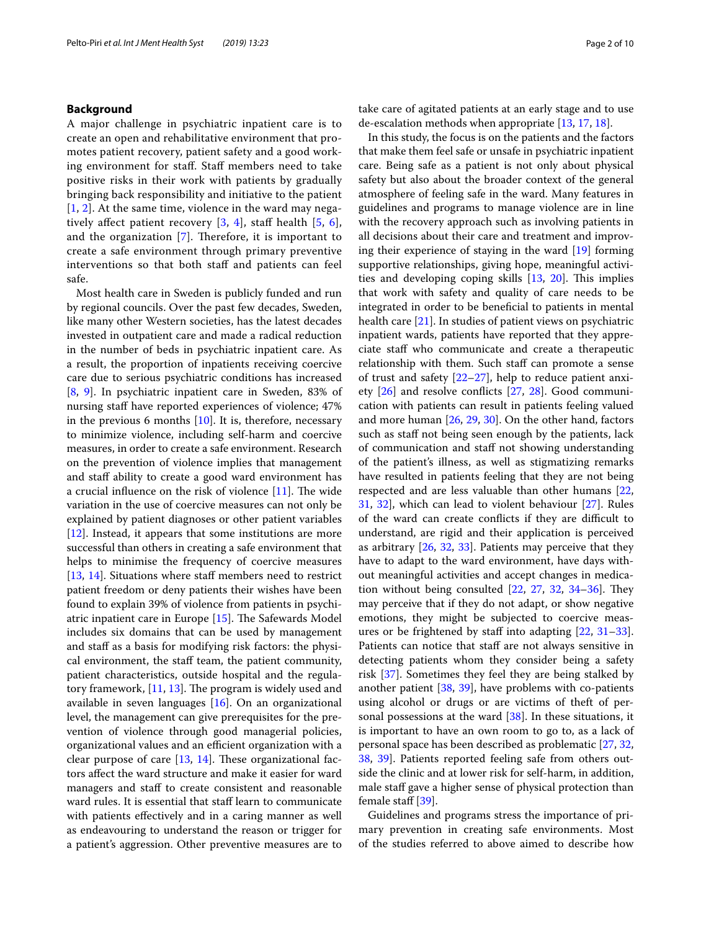## **Background**

A major challenge in psychiatric inpatient care is to create an open and rehabilitative environment that promotes patient recovery, patient safety and a good working environment for staff. Staff members need to take positive risks in their work with patients by gradually bringing back responsibility and initiative to the patient  $[1, 2]$  $[1, 2]$  $[1, 2]$  $[1, 2]$ . At the same time, violence in the ward may negatively affect patient recovery  $[3, 4]$  $[3, 4]$  $[3, 4]$ , staff health  $[5, 6]$  $[5, 6]$  $[5, 6]$  $[5, 6]$ , and the organization  $[7]$  $[7]$ . Therefore, it is important to create a safe environment through primary preventive interventions so that both staf and patients can feel safe.

Most health care in Sweden is publicly funded and run by regional councils. Over the past few decades, Sweden, like many other Western societies, has the latest decades invested in outpatient care and made a radical reduction in the number of beds in psychiatric inpatient care. As a result, the proportion of inpatients receiving coercive care due to serious psychiatric conditions has increased [[8,](#page-8-7) [9](#page-8-8)]. In psychiatric inpatient care in Sweden, 83% of nursing staff have reported experiences of violence;  $47\%$ in the previous 6 months  $[10]$ . It is, therefore, necessary to minimize violence, including self-harm and coercive measures, in order to create a safe environment. Research on the prevention of violence implies that management and staff ability to create a good ward environment has a crucial influence on the risk of violence  $[11]$  $[11]$ . The wide variation in the use of coercive measures can not only be explained by patient diagnoses or other patient variables [[12\]](#page-8-11). Instead, it appears that some institutions are more successful than others in creating a safe environment that helps to minimise the frequency of coercive measures [[13,](#page-8-12) [14\]](#page-8-13). Situations where staff members need to restrict patient freedom or deny patients their wishes have been found to explain 39% of violence from patients in psychiatric inpatient care in Europe  $[15]$  $[15]$  $[15]$ . The Safewards Model includes six domains that can be used by management and staff as a basis for modifying risk factors: the physical environment, the staf team, the patient community, patient characteristics, outside hospital and the regulatory framework,  $[11, 13]$  $[11, 13]$  $[11, 13]$  $[11, 13]$ . The program is widely used and available in seven languages [[16\]](#page-8-15). On an organizational level, the management can give prerequisites for the prevention of violence through good managerial policies, organizational values and an efficient organization with a clear purpose of care  $[13, 14]$  $[13, 14]$  $[13, 14]$  $[13, 14]$  $[13, 14]$ . These organizational factors afect the ward structure and make it easier for ward managers and staff to create consistent and reasonable ward rules. It is essential that staff learn to communicate with patients efectively and in a caring manner as well as endeavouring to understand the reason or trigger for a patient's aggression. Other preventive measures are to take care of agitated patients at an early stage and to use de-escalation methods when appropriate [[13,](#page-8-12) [17](#page-8-16), [18](#page-8-17)].

In this study, the focus is on the patients and the factors that make them feel safe or unsafe in psychiatric inpatient care. Being safe as a patient is not only about physical safety but also about the broader context of the general atmosphere of feeling safe in the ward. Many features in guidelines and programs to manage violence are in line with the recovery approach such as involving patients in all decisions about their care and treatment and improving their experience of staying in the ward [\[19](#page-8-18)] forming supportive relationships, giving hope, meaningful activities and developing coping skills  $[13, 20]$  $[13, 20]$  $[13, 20]$ . This implies that work with safety and quality of care needs to be integrated in order to be benefcial to patients in mental health care [\[21](#page-8-20)]. In studies of patient views on psychiatric inpatient wards, patients have reported that they appreciate staf who communicate and create a therapeutic relationship with them. Such staff can promote a sense of trust and safety  $[22-27]$  $[22-27]$  $[22-27]$ , help to reduce patient anxiety [[26\]](#page-8-23) and resolve conficts [[27,](#page-8-22) [28](#page-8-24)]. Good communication with patients can result in patients feeling valued and more human [\[26](#page-8-23), [29](#page-8-25), [30\]](#page-9-0). On the other hand, factors such as staff not being seen enough by the patients, lack of communication and staf not showing understanding of the patient's illness, as well as stigmatizing remarks have resulted in patients feeling that they are not being respected and are less valuable than other humans [[22](#page-8-21), [31,](#page-9-1) [32](#page-9-2)], which can lead to violent behaviour [[27](#page-8-22)]. Rules of the ward can create conflicts if they are difficult to understand, are rigid and their application is perceived as arbitrary [[26,](#page-8-23) [32,](#page-9-2) [33](#page-9-3)]. Patients may perceive that they have to adapt to the ward environment, have days without meaningful activities and accept changes in medication without being consulted  $[22, 27, 32, 34-36]$  $[22, 27, 32, 34-36]$  $[22, 27, 32, 34-36]$  $[22, 27, 32, 34-36]$  $[22, 27, 32, 34-36]$  $[22, 27, 32, 34-36]$  $[22, 27, 32, 34-36]$  $[22, 27, 32, 34-36]$  $[22, 27, 32, 34-36]$ . They may perceive that if they do not adapt, or show negative emotions, they might be subjected to coercive measures or be frightened by staff into adapting  $[22, 31-33]$  $[22, 31-33]$  $[22, 31-33]$  $[22, 31-33]$ . Patients can notice that staff are not always sensitive in detecting patients whom they consider being a safety risk [[37](#page-9-6)]. Sometimes they feel they are being stalked by another patient [[38](#page-9-7), [39\]](#page-9-8), have problems with co-patients using alcohol or drugs or are victims of theft of personal possessions at the ward [\[38\]](#page-9-7). In these situations, it is important to have an own room to go to, as a lack of personal space has been described as problematic [\[27](#page-8-22), [32](#page-9-2), [38,](#page-9-7) [39\]](#page-9-8). Patients reported feeling safe from others outside the clinic and at lower risk for self-harm, in addition, male staff gave a higher sense of physical protection than female staff [[39\]](#page-9-8).

Guidelines and programs stress the importance of primary prevention in creating safe environments. Most of the studies referred to above aimed to describe how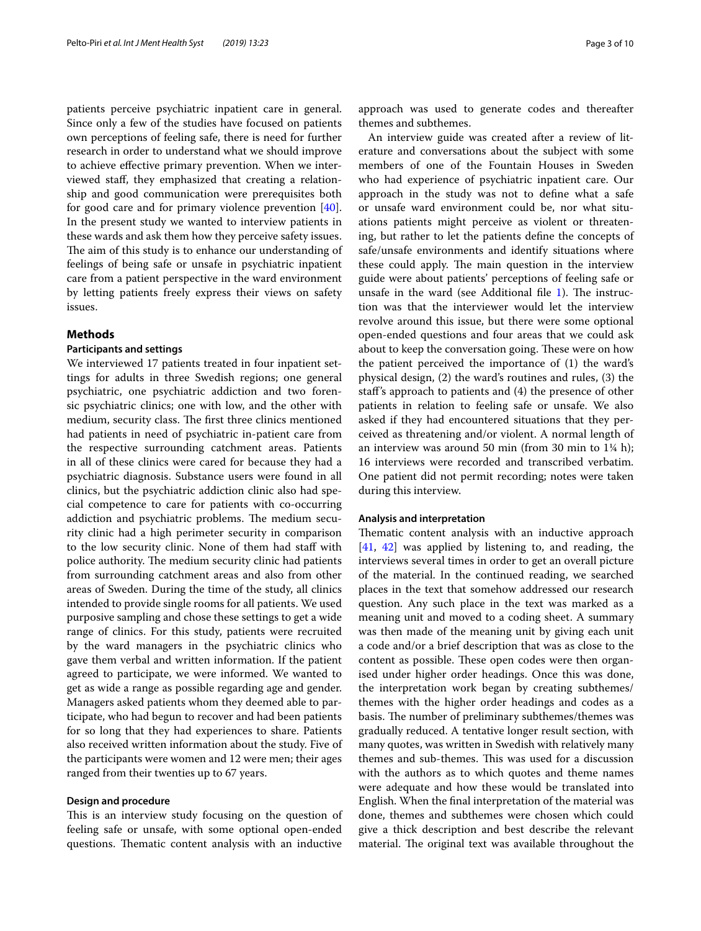patients perceive psychiatric inpatient care in general. Since only a few of the studies have focused on patients own perceptions of feeling safe, there is need for further research in order to understand what we should improve to achieve efective primary prevention. When we interviewed staf, they emphasized that creating a relationship and good communication were prerequisites both for good care and for primary violence prevention [\[40](#page-9-9)]. In the present study we wanted to interview patients in these wards and ask them how they perceive safety issues. The aim of this study is to enhance our understanding of feelings of being safe or unsafe in psychiatric inpatient care from a patient perspective in the ward environment by letting patients freely express their views on safety issues.

## **Methods**

## **Participants and settings**

We interviewed 17 patients treated in four inpatient settings for adults in three Swedish regions; one general psychiatric, one psychiatric addiction and two forensic psychiatric clinics; one with low, and the other with medium, security class. The first three clinics mentioned had patients in need of psychiatric in-patient care from the respective surrounding catchment areas. Patients in all of these clinics were cared for because they had a psychiatric diagnosis. Substance users were found in all clinics, but the psychiatric addiction clinic also had special competence to care for patients with co-occurring addiction and psychiatric problems. The medium security clinic had a high perimeter security in comparison to the low security clinic. None of them had staff with police authority. The medium security clinic had patients from surrounding catchment areas and also from other areas of Sweden. During the time of the study, all clinics intended to provide single rooms for all patients. We used purposive sampling and chose these settings to get a wide range of clinics. For this study, patients were recruited by the ward managers in the psychiatric clinics who gave them verbal and written information. If the patient agreed to participate, we were informed. We wanted to get as wide a range as possible regarding age and gender. Managers asked patients whom they deemed able to participate, who had begun to recover and had been patients for so long that they had experiences to share. Patients also received written information about the study. Five of the participants were women and 12 were men; their ages ranged from their twenties up to 67 years.

## **Design and procedure**

This is an interview study focusing on the question of feeling safe or unsafe, with some optional open-ended questions. Thematic content analysis with an inductive approach was used to generate codes and thereafter themes and subthemes.

An interview guide was created after a review of literature and conversations about the subject with some members of one of the Fountain Houses in Sweden who had experience of psychiatric inpatient care. Our approach in the study was not to defne what a safe or unsafe ward environment could be, nor what situations patients might perceive as violent or threatening, but rather to let the patients defne the concepts of safe/unsafe environments and identify situations where these could apply. The main question in the interview guide were about patients' perceptions of feeling safe or unsafe in the ward (see Additional file  $1$ ). The instruction was that the interviewer would let the interview revolve around this issue, but there were some optional open-ended questions and four areas that we could ask about to keep the conversation going. These were on how the patient perceived the importance of (1) the ward's physical design, (2) the ward's routines and rules, (3) the staf's approach to patients and (4) the presence of other patients in relation to feeling safe or unsafe. We also asked if they had encountered situations that they perceived as threatening and/or violent. A normal length of an interview was around 50 min (from 30 min to 1¼ h); 16 interviews were recorded and transcribed verbatim. One patient did not permit recording; notes were taken during this interview.

### **Analysis and interpretation**

Thematic content analysis with an inductive approach [[41,](#page-9-10) [42\]](#page-9-11) was applied by listening to, and reading, the interviews several times in order to get an overall picture of the material. In the continued reading, we searched places in the text that somehow addressed our research question. Any such place in the text was marked as a meaning unit and moved to a coding sheet. A summary was then made of the meaning unit by giving each unit a code and/or a brief description that was as close to the content as possible. These open codes were then organised under higher order headings. Once this was done, the interpretation work began by creating subthemes/ themes with the higher order headings and codes as a basis. The number of preliminary subthemes/themes was gradually reduced. A tentative longer result section, with many quotes, was written in Swedish with relatively many themes and sub-themes. This was used for a discussion with the authors as to which quotes and theme names were adequate and how these would be translated into English. When the fnal interpretation of the material was done, themes and subthemes were chosen which could give a thick description and best describe the relevant material. The original text was available throughout the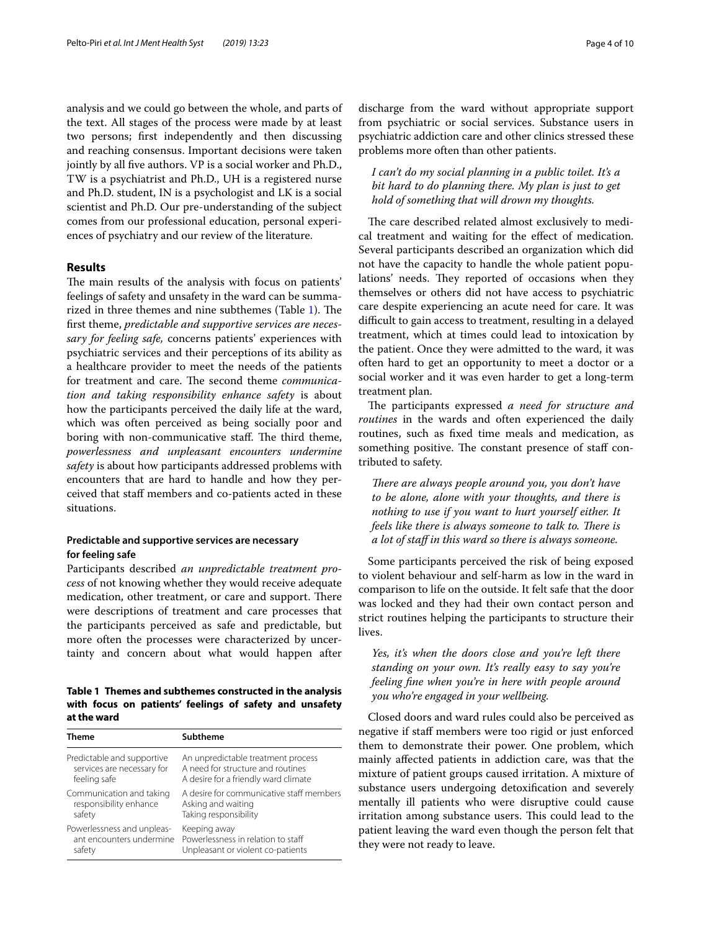analysis and we could go between the whole, and parts of the text. All stages of the process were made by at least two persons; frst independently and then discussing and reaching consensus. Important decisions were taken jointly by all fve authors. VP is a social worker and Ph.D., TW is a psychiatrist and Ph.D., UH is a registered nurse and Ph.D. student, IN is a psychologist and LK is a social scientist and Ph.D. Our pre-understanding of the subject comes from our professional education, personal experiences of psychiatry and our review of the literature.

## **Results**

The main results of the analysis with focus on patients' feelings of safety and unsafety in the ward can be summarized in three themes and nine subthemes (Table  $1$ ). The frst theme, *predictable and supportive services are necessary for feeling safe,* concerns patients' experiences with psychiatric services and their perceptions of its ability as a healthcare provider to meet the needs of the patients for treatment and care. The second theme *communication and taking responsibility enhance safety* is about how the participants perceived the daily life at the ward, which was often perceived as being socially poor and boring with non-communicative staff. The third theme, *powerlessness and unpleasant encounters undermine safety* is about how participants addressed problems with encounters that are hard to handle and how they perceived that staf members and co-patients acted in these situations.

## **Predictable and supportive services are necessary for feeling safe**

Participants described *an unpredictable treatment process* of not knowing whether they would receive adequate medication, other treatment, or care and support. There were descriptions of treatment and care processes that the participants perceived as safe and predictable, but more often the processes were characterized by uncertainty and concern about what would happen after

<span id="page-3-0"></span>**Table 1 Themes and subthemes constructed in the analysis with focus on patients' feelings of safety and unsafety at the ward**

| <b>Theme</b>               | <b>Subtheme</b>                          |
|----------------------------|------------------------------------------|
| Predictable and supportive | An unpredictable treatment process       |
| services are necessary for | A need for structure and routines        |
| feeling safe               | A desire for a friendly ward climate     |
| Communication and taking   | A desire for communicative staff members |
| responsibility enhance     | Asking and waiting                       |
| safety                     | Taking responsibility                    |
| Powerlessness and unpleas- | Keeping away                             |
| ant encounters undermine   | Powerlessness in relation to staff       |
| safety                     | Unpleasant or violent co-patients        |

discharge from the ward without appropriate support from psychiatric or social services. Substance users in psychiatric addiction care and other clinics stressed these problems more often than other patients.

*I can't do my social planning in a public toilet. It's a bit hard to do planning there. My plan is just to get hold of something that will drown my thoughts.*

The care described related almost exclusively to medical treatment and waiting for the efect of medication. Several participants described an organization which did not have the capacity to handle the whole patient populations' needs. They reported of occasions when they themselves or others did not have access to psychiatric care despite experiencing an acute need for care. It was difficult to gain access to treatment, resulting in a delayed treatment, which at times could lead to intoxication by the patient. Once they were admitted to the ward, it was often hard to get an opportunity to meet a doctor or a social worker and it was even harder to get a long-term treatment plan.

The participants expressed *a need for structure and routines* in the wards and often experienced the daily routines, such as fxed time meals and medication, as something positive. The constant presence of staff contributed to safety.

*There are always people around you, you don't have to be alone, alone with your thoughts, and there is nothing to use if you want to hurt yourself either. It feels like there is always someone to talk to. There is a lot of staf in this ward so there is always someone.*

Some participants perceived the risk of being exposed to violent behaviour and self-harm as low in the ward in comparison to life on the outside. It felt safe that the door was locked and they had their own contact person and strict routines helping the participants to structure their lives.

*Yes, it's when the doors close and you're left there standing on your own. It's really easy to say you're feeling fne when you're in here with people around you who're engaged in your wellbeing.*

Closed doors and ward rules could also be perceived as negative if staf members were too rigid or just enforced them to demonstrate their power. One problem, which mainly afected patients in addiction care, was that the mixture of patient groups caused irritation. A mixture of substance users undergoing detoxifcation and severely mentally ill patients who were disruptive could cause irritation among substance users. This could lead to the patient leaving the ward even though the person felt that they were not ready to leave.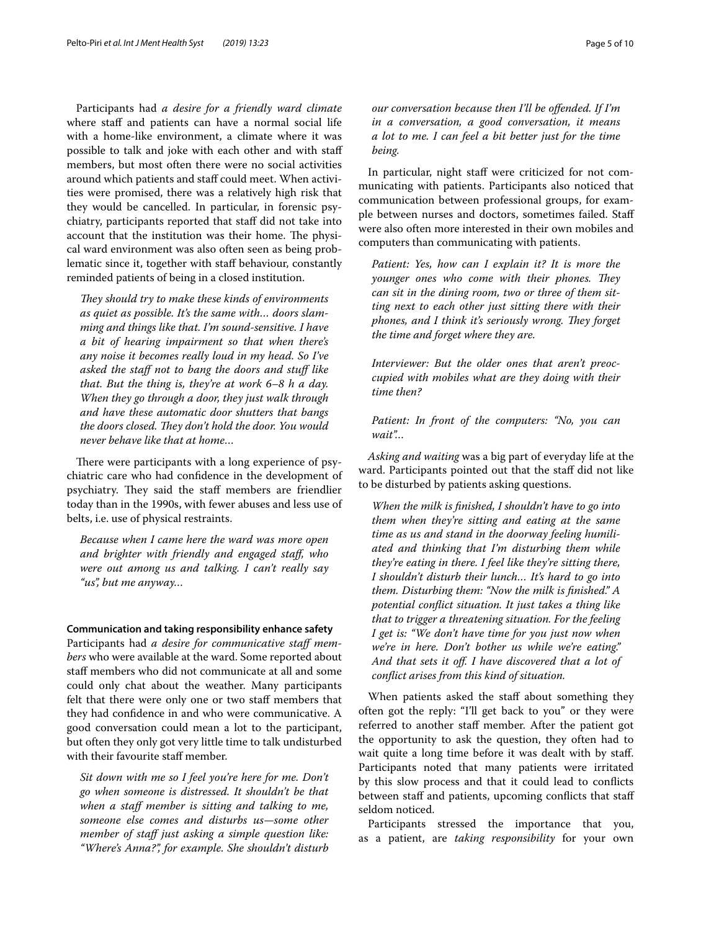Participants had *a desire for a friendly ward climate* where staff and patients can have a normal social life with a home-like environment, a climate where it was possible to talk and joke with each other and with staf members, but most often there were no social activities around which patients and staf could meet. When activities were promised, there was a relatively high risk that they would be cancelled. In particular, in forensic psychiatry, participants reported that staf did not take into account that the institution was their home. The physical ward environment was also often seen as being problematic since it, together with staff behaviour, constantly reminded patients of being in a closed institution.

They should try to make these kinds of environments *as quiet as possible. It's the same with… doors slamming and things like that. I'm sound-sensitive. I have a bit of hearing impairment so that when there's any noise it becomes really loud in my head. So I've asked the staf not to bang the doors and stuf like that. But the thing is, they're at work 6–8 h a day. When they go through a door, they just walk through and have these automatic door shutters that bangs*  the doors closed. They don't hold the door. You would *never behave like that at home…*

There were participants with a long experience of psychiatric care who had confdence in the development of psychiatry. They said the staff members are friendlier today than in the 1990s, with fewer abuses and less use of belts, i.e. use of physical restraints.

*Because when I came here the ward was more open and brighter with friendly and engaged staf, who were out among us and talking. I can't really say "us", but me anyway…*

## **Communication and taking responsibility enhance safety**

Participants had *a desire for communicative staff members* who were available at the ward. Some reported about staf members who did not communicate at all and some could only chat about the weather. Many participants felt that there were only one or two staff members that they had confdence in and who were communicative. A good conversation could mean a lot to the participant, but often they only got very little time to talk undisturbed with their favourite staff member.

*Sit down with me so I feel you're here for me. Don't go when someone is distressed. It shouldn't be that*  when a staff member is sitting and talking to me, *someone else comes and disturbs us—some other member of staff just asking a simple question like: "Where's Anna?", for example. She shouldn't disturb* 

*our conversation because then I'll be ofended. If I'm in a conversation, a good conversation, it means a lot to me. I can feel a bit better just for the time being.*

In particular, night staff were criticized for not communicating with patients. Participants also noticed that communication between professional groups, for example between nurses and doctors, sometimes failed. Staf were also often more interested in their own mobiles and computers than communicating with patients.

*Patient: Yes, how can I explain it? It is more the younger ones who come with their phones. They can sit in the dining room, two or three of them sitting next to each other just sitting there with their phones, and I think it's seriously wrong. They forget the time and forget where they are.*

*Interviewer: But the older ones that aren't preoccupied with mobiles what are they doing with their time then?*

*Patient: In front of the computers: "No, you can wait"…*

*Asking and waiting* was a big part of everyday life at the ward. Participants pointed out that the staf did not like to be disturbed by patients asking questions.

*When the milk is fnished, I shouldn't have to go into them when they're sitting and eating at the same time as us and stand in the doorway feeling humiliated and thinking that I'm disturbing them while they're eating in there. I feel like they're sitting there, I shouldn't disturb their lunch… It's hard to go into them. Disturbing them: "Now the milk is fnished." A potential confict situation. It just takes a thing like that to trigger a threatening situation. For the feeling I get is: "We don't have time for you just now when we're in here. Don't bother us while we're eating." And that sets it of. I have discovered that a lot of confict arises from this kind of situation.*

When patients asked the staff about something they often got the reply: "I'll get back to you" or they were referred to another staff member. After the patient got the opportunity to ask the question, they often had to wait quite a long time before it was dealt with by staff. Participants noted that many patients were irritated by this slow process and that it could lead to conficts between staff and patients, upcoming conflicts that staff seldom noticed.

Participants stressed the importance that you, as a patient, are *taking responsibility* for your own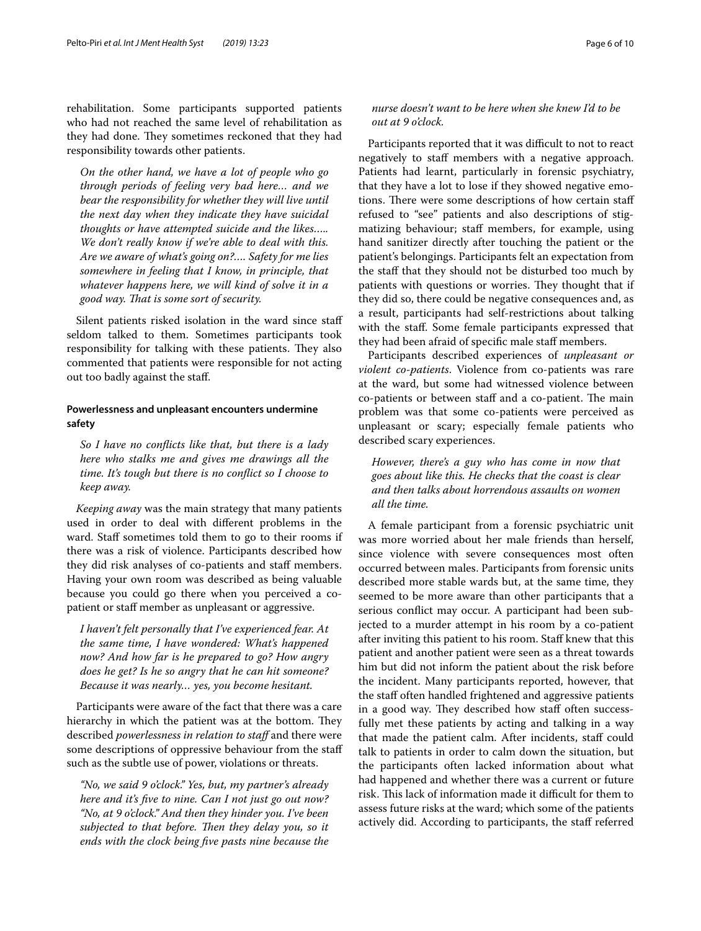rehabilitation. Some participants supported patients who had not reached the same level of rehabilitation as they had done. They sometimes reckoned that they had responsibility towards other patients.

*On the other hand, we have a lot of people who go through periods of feeling very bad here… and we bear the responsibility for whether they will live until the next day when they indicate they have suicidal thoughts or have attempted suicide and the likes….. We don't really know if we're able to deal with this. Are we aware of what's going on?…. Safety for me lies somewhere in feeling that I know, in principle, that whatever happens here, we will kind of solve it in a good way. Tat is some sort of security.*

Silent patients risked isolation in the ward since staff seldom talked to them. Sometimes participants took responsibility for talking with these patients. They also commented that patients were responsible for not acting out too badly against the staf.

## **Powerlessness and unpleasant encounters undermine safety**

*So I have no conficts like that, but there is a lady here who stalks me and gives me drawings all the time. It's tough but there is no confict so I choose to keep away.*

*Keeping away* was the main strategy that many patients used in order to deal with diferent problems in the ward. Staff sometimes told them to go to their rooms if there was a risk of violence. Participants described how they did risk analyses of co-patients and staff members. Having your own room was described as being valuable because you could go there when you perceived a copatient or staf member as unpleasant or aggressive.

*I haven't felt personally that I've experienced fear. At the same time, I have wondered: What's happened now? And how far is he prepared to go? How angry does he get? Is he so angry that he can hit someone? Because it was nearly… yes, you become hesitant.*

Participants were aware of the fact that there was a care hierarchy in which the patient was at the bottom. They described *powerlessness in relation to staf* and there were some descriptions of oppressive behaviour from the staf such as the subtle use of power, violations or threats.

*"No, we said 9 o'clock." Yes, but, my partner's already here and it's fve to nine. Can I not just go out now? "No, at 9 o'clock." And then they hinder you. I've been subjected to that before. Then they delay you, so it ends with the clock being fve pasts nine because the* 

## *nurse doesn't want to be here when she knew I'd to be out at 9 o'clock.*

Participants reported that it was difficult to not to react negatively to staff members with a negative approach. Patients had learnt, particularly in forensic psychiatry, that they have a lot to lose if they showed negative emotions. There were some descriptions of how certain staff refused to "see" patients and also descriptions of stigmatizing behaviour; staff members, for example, using hand sanitizer directly after touching the patient or the patient's belongings. Participants felt an expectation from the staf that they should not be disturbed too much by patients with questions or worries. They thought that if they did so, there could be negative consequences and, as a result, participants had self-restrictions about talking with the staf. Some female participants expressed that they had been afraid of specific male staff members.

Participants described experiences of *unpleasant or violent co*-*patients*. Violence from co-patients was rare at the ward, but some had witnessed violence between co-patients or between staff and a co-patient. The main problem was that some co-patients were perceived as unpleasant or scary; especially female patients who described scary experiences.

*However, there's a guy who has come in now that goes about like this. He checks that the coast is clear and then talks about horrendous assaults on women all the time.*

A female participant from a forensic psychiatric unit was more worried about her male friends than herself, since violence with severe consequences most often occurred between males. Participants from forensic units described more stable wards but, at the same time, they seemed to be more aware than other participants that a serious confict may occur. A participant had been subjected to a murder attempt in his room by a co-patient after inviting this patient to his room. Staf knew that this patient and another patient were seen as a threat towards him but did not inform the patient about the risk before the incident. Many participants reported, however, that the staf often handled frightened and aggressive patients in a good way. They described how staff often successfully met these patients by acting and talking in a way that made the patient calm. After incidents, staff could talk to patients in order to calm down the situation, but the participants often lacked information about what had happened and whether there was a current or future risk. This lack of information made it difficult for them to assess future risks at the ward; which some of the patients actively did. According to participants, the staff referred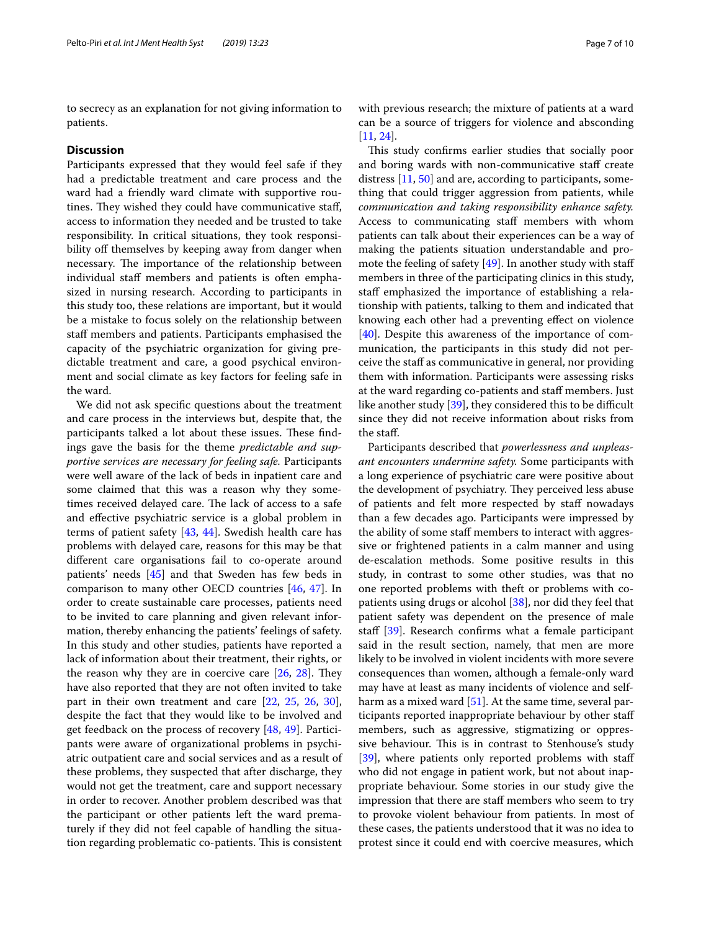to secrecy as an explanation for not giving information to patients.

## **Discussion**

Participants expressed that they would feel safe if they had a predictable treatment and care process and the ward had a friendly ward climate with supportive routines. They wished they could have communicative staff, access to information they needed and be trusted to take responsibility. In critical situations, they took responsibility off themselves by keeping away from danger when necessary. The importance of the relationship between individual staff members and patients is often emphasized in nursing research. According to participants in this study too, these relations are important, but it would be a mistake to focus solely on the relationship between staf members and patients. Participants emphasised the capacity of the psychiatric organization for giving predictable treatment and care, a good psychical environment and social climate as key factors for feeling safe in the ward.

We did not ask specifc questions about the treatment and care process in the interviews but, despite that, the participants talked a lot about these issues. These findings gave the basis for the theme *predictable and supportive services are necessary for feeling safe.* Participants were well aware of the lack of beds in inpatient care and some claimed that this was a reason why they sometimes received delayed care. The lack of access to a safe and efective psychiatric service is a global problem in terms of patient safety [[43,](#page-9-12) [44\]](#page-9-13). Swedish health care has problems with delayed care, reasons for this may be that diferent care organisations fail to co-operate around patients' needs [\[45](#page-9-14)] and that Sweden has few beds in comparison to many other OECD countries [[46](#page-9-15), [47\]](#page-9-16). In order to create sustainable care processes, patients need to be invited to care planning and given relevant information, thereby enhancing the patients' feelings of safety. In this study and other studies, patients have reported a lack of information about their treatment, their rights, or the reason why they are in coercive care  $[26, 28]$  $[26, 28]$  $[26, 28]$  $[26, 28]$  $[26, 28]$ . They have also reported that they are not often invited to take part in their own treatment and care [[22,](#page-8-21) [25](#page-8-27), [26,](#page-8-23) [30](#page-9-0)], despite the fact that they would like to be involved and get feedback on the process of recovery [[48,](#page-9-17) [49\]](#page-9-18). Participants were aware of organizational problems in psychiatric outpatient care and social services and as a result of these problems, they suspected that after discharge, they would not get the treatment, care and support necessary in order to recover. Another problem described was that the participant or other patients left the ward prematurely if they did not feel capable of handling the situation regarding problematic co-patients. This is consistent with previous research; the mixture of patients at a ward can be a source of triggers for violence and absconding [[11,](#page-8-10) [24](#page-8-28)].

This study confirms earlier studies that socially poor and boring wards with non-communicative staf create distress [\[11](#page-8-10), [50\]](#page-9-19) and are, according to participants, something that could trigger aggression from patients, while *communication and taking responsibility enhance safety.* Access to communicating staff members with whom patients can talk about their experiences can be a way of making the patients situation understandable and pro-mote the feeling of safety [[49\]](#page-9-18). In another study with staff members in three of the participating clinics in this study, staff emphasized the importance of establishing a relationship with patients, talking to them and indicated that knowing each other had a preventing efect on violence [[40\]](#page-9-9). Despite this awareness of the importance of communication, the participants in this study did not perceive the staff as communicative in general, nor providing them with information. Participants were assessing risks at the ward regarding co-patients and staf members. Just like another study  $[39]$  $[39]$ , they considered this to be difficult since they did not receive information about risks from the staf.

Participants described that *powerlessness and unpleasant encounters undermine safety.* Some participants with a long experience of psychiatric care were positive about the development of psychiatry. They perceived less abuse of patients and felt more respected by staf nowadays than a few decades ago. Participants were impressed by the ability of some staf members to interact with aggressive or frightened patients in a calm manner and using de-escalation methods. Some positive results in this study, in contrast to some other studies, was that no one reported problems with theft or problems with copatients using drugs or alcohol [[38\]](#page-9-7), nor did they feel that patient safety was dependent on the presence of male staff  $[39]$  $[39]$ . Research confirms what a female participant said in the result section, namely, that men are more likely to be involved in violent incidents with more severe consequences than women, although a female-only ward may have at least as many incidents of violence and self-harm as a mixed ward [[51\]](#page-9-20). At the same time, several participants reported inappropriate behaviour by other staf members, such as aggressive, stigmatizing or oppressive behaviour. This is in contrast to Stenhouse's study [[39\]](#page-9-8), where patients only reported problems with staff who did not engage in patient work, but not about inappropriate behaviour. Some stories in our study give the impression that there are staf members who seem to try to provoke violent behaviour from patients. In most of these cases, the patients understood that it was no idea to protest since it could end with coercive measures, which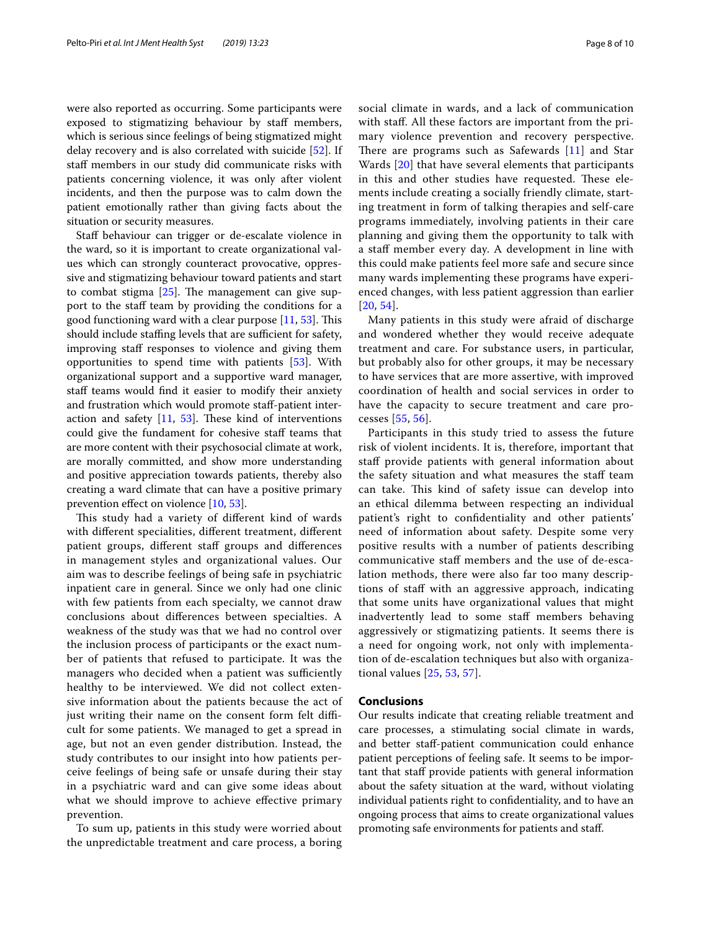were also reported as occurring. Some participants were exposed to stigmatizing behaviour by staff members, which is serious since feelings of being stigmatized might delay recovery and is also correlated with suicide [\[52\]](#page-9-21). If staff members in our study did communicate risks with patients concerning violence, it was only after violent incidents, and then the purpose was to calm down the patient emotionally rather than giving facts about the situation or security measures.

Staff behaviour can trigger or de-escalate violence in the ward, so it is important to create organizational values which can strongly counteract provocative, oppressive and stigmatizing behaviour toward patients and start to combat stigma  $[25]$  $[25]$ . The management can give support to the staff team by providing the conditions for a good functioning ward with a clear purpose  $[11, 53]$  $[11, 53]$  $[11, 53]$ . This should include staffing levels that are sufficient for safety, improving staff responses to violence and giving them opportunities to spend time with patients [\[53](#page-9-22)]. With organizational support and a supportive ward manager, staff teams would find it easier to modify their anxiety and frustration which would promote staf-patient interaction and safety  $[11, 53]$  $[11, 53]$  $[11, 53]$  $[11, 53]$  $[11, 53]$ . These kind of interventions could give the fundament for cohesive staf teams that are more content with their psychosocial climate at work, are morally committed, and show more understanding and positive appreciation towards patients, thereby also creating a ward climate that can have a positive primary prevention efect on violence [\[10](#page-8-9), [53\]](#page-9-22).

This study had a variety of different kind of wards with diferent specialities, diferent treatment, diferent patient groups, different staff groups and differences in management styles and organizational values. Our aim was to describe feelings of being safe in psychiatric inpatient care in general. Since we only had one clinic with few patients from each specialty, we cannot draw conclusions about diferences between specialties. A weakness of the study was that we had no control over the inclusion process of participants or the exact number of patients that refused to participate. It was the managers who decided when a patient was sufficiently healthy to be interviewed. We did not collect extensive information about the patients because the act of just writing their name on the consent form felt difficult for some patients. We managed to get a spread in age, but not an even gender distribution. Instead, the study contributes to our insight into how patients perceive feelings of being safe or unsafe during their stay in a psychiatric ward and can give some ideas about what we should improve to achieve effective primary prevention.

To sum up, patients in this study were worried about the unpredictable treatment and care process, a boring social climate in wards, and a lack of communication with staf. All these factors are important from the primary violence prevention and recovery perspective. There are programs such as Safewards  $[11]$  $[11]$  and Star Wards [\[20](#page-8-19)] that have several elements that participants in this and other studies have requested. These elements include creating a socially friendly climate, starting treatment in form of talking therapies and self-care programs immediately, involving patients in their care planning and giving them the opportunity to talk with a staff member every day. A development in line with this could make patients feel more safe and secure since many wards implementing these programs have experienced changes, with less patient aggression than earlier [[20](#page-8-19), [54](#page-9-23)].

Many patients in this study were afraid of discharge and wondered whether they would receive adequate treatment and care. For substance users, in particular, but probably also for other groups, it may be necessary to have services that are more assertive, with improved coordination of health and social services in order to have the capacity to secure treatment and care processes [\[55](#page-9-24), [56](#page-9-25)].

Participants in this study tried to assess the future risk of violent incidents. It is, therefore, important that staff provide patients with general information about the safety situation and what measures the staff team can take. This kind of safety issue can develop into an ethical dilemma between respecting an individual patient's right to confdentiality and other patients' need of information about safety. Despite some very positive results with a number of patients describing communicative staf members and the use of de-escalation methods, there were also far too many descriptions of staf with an aggressive approach, indicating that some units have organizational values that might inadvertently lead to some staff members behaving aggressively or stigmatizing patients. It seems there is a need for ongoing work, not only with implementation of de-escalation techniques but also with organizational values [\[25,](#page-8-27) [53](#page-9-22), [57](#page-9-26)].

## **Conclusions**

Our results indicate that creating reliable treatment and care processes, a stimulating social climate in wards, and better staf-patient communication could enhance patient perceptions of feeling safe. It seems to be important that staff provide patients with general information about the safety situation at the ward, without violating individual patients right to confdentiality, and to have an ongoing process that aims to create organizational values promoting safe environments for patients and staf.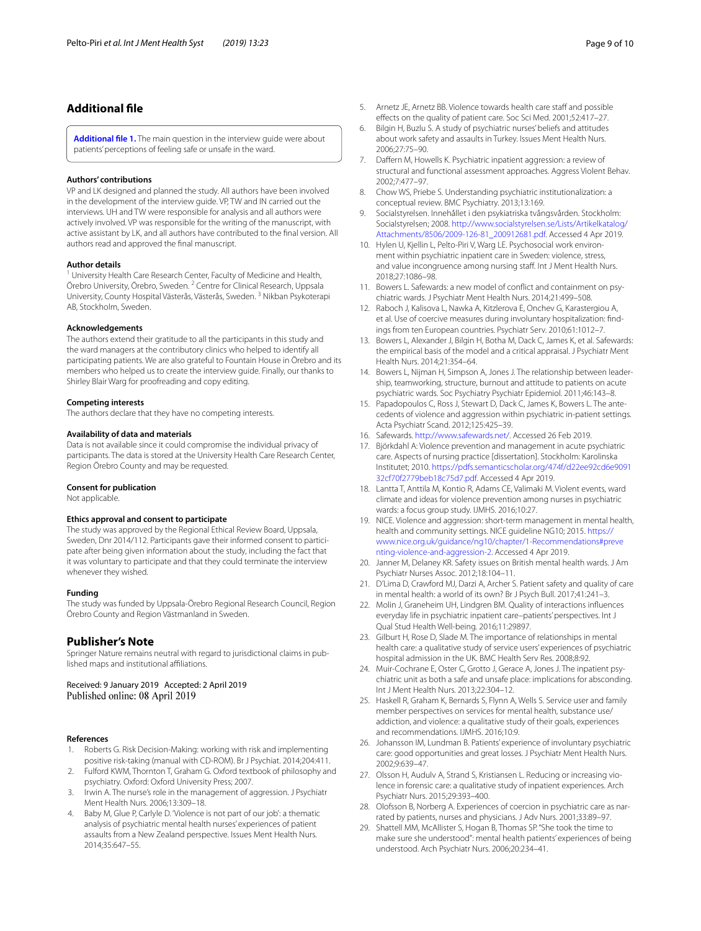## **Additional fle**

<span id="page-8-26"></span>**[Additional fle 1.](https://doi.org/10.1186/s13033-019-0282-y)** The main question in the interview guide were about patients' perceptions of feeling safe or unsafe in the ward.

#### **Authors' contributions**

VP and LK designed and planned the study. All authors have been involved in the development of the interview guide. VP, TW and IN carried out the interviews. UH and TW were responsible for analysis and all authors were actively involved. VP was responsible for the writing of the manuscript, with active assistant by LK, and all authors have contributed to the fnal version. All authors read and approved the fnal manuscript.

#### **Author details**

<sup>1</sup> University Health Care Research Center, Faculty of Medicine and Health, Örebro University, Örebro, Sweden. <sup>2</sup> Centre for Clinical Research, Uppsala University, County Hospital Västerås, Västerås, Sweden. 3 Nikban Psykoterapi AB, Stockholm, Sweden.

#### **Acknowledgements**

The authors extend their gratitude to all the participants in this study and the ward managers at the contributory clinics who helped to identify all participating patients. We are also grateful to Fountain House in Örebro and its members who helped us to create the interview guide. Finally, our thanks to Shirley Blair Warg for proofreading and copy editing.

## **Competing interests**

The authors declare that they have no competing interests.

#### **Availability of data and materials**

Data is not available since it could compromise the individual privacy of participants. The data is stored at the University Health Care Research Center, Region Örebro County and may be requested.

#### **Consent for publication**

Not applicable.

#### **Ethics approval and consent to participate**

The study was approved by the Regional Ethical Review Board, Uppsala, Sweden, Dnr 2014/112. Participants gave their informed consent to participate after being given information about the study, including the fact that it was voluntary to participate and that they could terminate the interview whenever they wished.

#### **Funding**

The study was funded by Uppsala-Örebro Regional Research Council, Region Örebro County and Region Västmanland in Sweden.

## **Publisher's Note**

Springer Nature remains neutral with regard to jurisdictional claims in published maps and institutional afliations.

Received: 9 January 2019 Accepted: 2 April 2019 Published online: 08 April 2019

#### **References**

- <span id="page-8-0"></span>1. Roberts G. Risk Decision-Making: working with risk and implementing positive risk-taking (manual with CD-ROM). Br J Psychiat. 2014;204:411.
- <span id="page-8-1"></span>2. Fulford KWM, Thornton T, Graham G. Oxford textbook of philosophy and psychiatry. Oxford: Oxford University Press; 2007.
- <span id="page-8-2"></span>3. Irwin A. The nurse's role in the management of aggression. J Psychiatr Ment Health Nurs. 2006;13:309–18.
- <span id="page-8-3"></span>4. Baby M, Glue P, Carlyle D. 'Violence is not part of our job': a thematic analysis of psychiatric mental health nurses' experiences of patient assaults from a New Zealand perspective. Issues Ment Health Nurs. 2014;35:647–55.
- <span id="page-8-4"></span>5. Arnetz JE, Arnetz BB. Violence towards health care staff and possible efects on the quality of patient care. Soc Sci Med. 2001;52:417–27.
- <span id="page-8-5"></span>6. Bilgin H, Buzlu S. A study of psychiatric nurses' beliefs and attitudes about work safety and assaults in Turkey. Issues Ment Health Nurs. 2006;27:75–90.
- <span id="page-8-6"></span>7. Daffern M, Howells K. Psychiatric inpatient aggression: a review of structural and functional assessment approaches. Aggress Violent Behav. 2002;7:477–97.
- <span id="page-8-7"></span>Chow WS, Priebe S. Understanding psychiatric institutionalization: a conceptual review. BMC Psychiatry. 2013;13:169.
- <span id="page-8-8"></span>9. Socialstyrelsen. Innehållet i den psykiatriska tvångsvården. Stockholm: Socialstyrelsen; 2008. [http://www.socialstyrelsen.se/Lists/Artikelkatalog/](http://www.socialstyrelsen.se/Lists/Artikelkatalog/Attachments/8506/2009-126-81_200912681.pdf) [Attachments/8506/2009-126-81\\_200912681.pdf.](http://www.socialstyrelsen.se/Lists/Artikelkatalog/Attachments/8506/2009-126-81_200912681.pdf) Accessed 4 Apr 2019.
- <span id="page-8-9"></span>10. Hylen U, Kjellin L, Pelto-Piri V, Warg LE. Psychosocial work environment within psychiatric inpatient care in Sweden: violence, stress, and value incongruence among nursing staff. Int J Ment Health Nurs. 2018;27:1086–98.
- <span id="page-8-10"></span>11. Bowers L. Safewards: a new model of conflict and containment on psychiatric wards. J Psychiatr Ment Health Nurs. 2014;21:499–508.
- <span id="page-8-11"></span>12. Raboch J, Kalisova L, Nawka A, Kitzlerova E, Onchev G, Karastergiou A, et al. Use of coercive measures during involuntary hospitalization: findings from ten European countries. Psychiatr Serv. 2010;61:1012–7.
- <span id="page-8-12"></span>13. Bowers L, Alexander J, Bilgin H, Botha M, Dack C, James K, et al. Safewards: the empirical basis of the model and a critical appraisal. J Psychiatr Ment Health Nurs. 2014;21:354–64.
- <span id="page-8-13"></span>14. Bowers L, Nijman H, Simpson A, Jones J. The relationship between leadership, teamworking, structure, burnout and attitude to patients on acute psychiatric wards. Soc Psychiatry Psychiatr Epidemiol. 2011;46:143–8.
- <span id="page-8-14"></span>15. Papadopoulos C, Ross J, Stewart D, Dack C, James K, Bowers L. The antecedents of violence and aggression within psychiatric in-patient settings. Acta Psychiatr Scand. 2012;125:425–39.
- <span id="page-8-15"></span>16. Safewards. [http://www.safewards.net/.](http://www.safewards.net/) Accessed 26 Feb 2019.
- <span id="page-8-16"></span>17. Björkdahl A: Violence prevention and management in acute psychiatric care. Aspects of nursing practice [dissertation]. Stockholm: Karolinska Institutet; 2010. [https://pdfs.semanticscholar.org/474f/d22ee92cd6e9091](https://pdfs.semanticscholar.org/474f/d22ee92cd6e909132cf70f2779beb18c75d7.pdf) [32cf70f2779beb18c75d7.pdf](https://pdfs.semanticscholar.org/474f/d22ee92cd6e909132cf70f2779beb18c75d7.pdf). Accessed 4 Apr 2019.
- <span id="page-8-17"></span>18. Lantta T, Anttila M, Kontio R, Adams CE, Valimaki M. Violent events, ward climate and ideas for violence prevention among nurses in psychiatric wards: a focus group study. IJMHS. 2016;10:27.
- <span id="page-8-18"></span>19. NICE. Violence and aggression: short-term management in mental health, health and community settings. NICE guideline NG10; 2015. [https://](https://www.nice.org.uk/guidance/ng10/chapter/1-Recommendations#preventing-violence-and-aggression-2) [www.nice.org.uk/guidance/ng10/chapter/1-Recommendations#preve](https://www.nice.org.uk/guidance/ng10/chapter/1-Recommendations#preventing-violence-and-aggression-2) [nting-violence-and-aggression-2.](https://www.nice.org.uk/guidance/ng10/chapter/1-Recommendations#preventing-violence-and-aggression-2) Accessed 4 Apr 2019.
- <span id="page-8-19"></span>20. Janner M, Delaney KR. Safety issues on British mental health wards. J Am Psychiatr Nurses Assoc. 2012;18:104–11.
- <span id="page-8-20"></span>21. D'Lima D, Crawford MJ, Darzi A, Archer S. Patient safety and quality of care in mental health: a world of its own? Br J Psych Bull. 2017;41:241–3.
- <span id="page-8-21"></span>22. Molin J, Graneheim UH, Lindgren BM. Quality of interactions infuences everyday life in psychiatric inpatient care–patients' perspectives. Int J Qual Stud Health Well-being. 2016;11:29897.
- 23. Gilburt H, Rose D, Slade M. The importance of relationships in mental health care: a qualitative study of service users' experiences of psychiatric hospital admission in the UK. BMC Health Serv Res. 2008;8:92.
- <span id="page-8-28"></span>24. Muir-Cochrane E, Oster C, Grotto J, Gerace A, Jones J. The inpatient psychiatric unit as both a safe and unsafe place: implications for absconding. Int J Ment Health Nurs. 2013;22:304–12.
- <span id="page-8-27"></span>25. Haskell R, Graham K, Bernards S, Flynn A, Wells S. Service user and family member perspectives on services for mental health, substance use/ addiction, and violence: a qualitative study of their goals, experiences and recommendations. IJMHS. 2016;10:9.
- <span id="page-8-23"></span>26. Johansson IM, Lundman B. Patients' experience of involuntary psychiatric care: good opportunities and great losses. J Psychiatr Ment Health Nurs. 2002;9:639–47.
- <span id="page-8-22"></span>27. Olsson H, Audulv A, Strand S, Kristiansen L. Reducing or increasing violence in forensic care: a qualitative study of inpatient experiences. Arch Psychiatr Nurs. 2015;29:393–400.
- <span id="page-8-24"></span>28. Olofsson B, Norberg A. Experiences of coercion in psychiatric care as narrated by patients, nurses and physicians. J Adv Nurs. 2001;33:89–97.
- <span id="page-8-25"></span>29. Shattell MM, McAllister S, Hogan B, Thomas SP. "She took the time to make sure she understood": mental health patients' experiences of being understood. Arch Psychiatr Nurs. 2006;20:234–41.